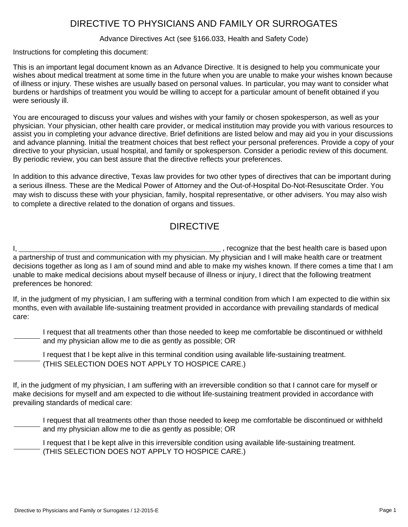# DIRECTIVE TO PHYSICIANS AND FAMILY OR SURROGATES

#### Advance Directives Act (see §166.033, Health and Safety Code)

Instructions for completing this document:

This is an important legal document known as an Advance Directive. It is designed to help you communicate your wishes about medical treatment at some time in the future when you are unable to make your wishes known because of illness or injury. These wishes are usually based on personal values. In particular, you may want to consider what burdens or hardships of treatment you would be willing to accept for a particular amount of benefit obtained if you were seriously ill.

You are encouraged to discuss your values and wishes with your family or chosen spokesperson, as well as your physician. Your physician, other health care provider, or medical institution may provide you with various resources to assist you in completing your advance directive. Brief definitions are listed below and may aid you in your discussions and advance planning. Initial the treatment choices that best reflect your personal preferences. Provide a copy of your directive to your physician, usual hospital, and family or spokesperson. Consider a periodic review of this document. By periodic review, you can best assure that the directive reflects your preferences.

In addition to this advance directive, Texas law provides for two other types of directives that can be important during a serious illness. These are the Medical Power of Attorney and the Out-of-Hospital Do-Not-Resuscitate Order. You may wish to discuss these with your physician, family, hospital representative, or other advisers. You may also wish to complete a directive related to the donation of organs and tissues.

## DIRECTIVE

I, the state of the best health care is based upon in the best health care is based upon a partnership of trust and communication with my physician. My physician and I will make health care or treatment decisions together as long as I am of sound mind and able to make my wishes known. If there comes a time that I am unable to make medical decisions about myself because of illness or injury, I direct that the following treatment preferences be honored:

If, in the judgment of my physician, I am suffering with a terminal condition from which I am expected to die within six months, even with available life-sustaining treatment provided in accordance with prevailing standards of medical care:

I request that all treatments other than those needed to keep me comfortable be discontinued or withheld and my physician allow me to die as gently as possible; OR

I request that I be kept alive in this terminal condition using available life-sustaining treatment. (THIS SELECTION DOES NOT APPLY TO HOSPICE CARE.)

If, in the judgment of my physician, I am suffering with an irreversible condition so that I cannot care for myself or make decisions for myself and am expected to die without life-sustaining treatment provided in accordance with prevailing standards of medical care:

I request that all treatments other than those needed to keep me comfortable be discontinued or withheld and my physician allow me to die as gently as possible; OR

I request that I be kept alive in this irreversible condition using available life-sustaining treatment. (THIS SELECTION DOES NOT APPLY TO HOSPICE CARE.)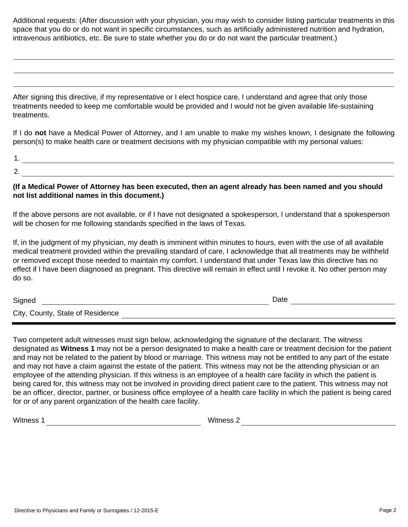Additional requests: (After discussion with your physician, you may wish to consider listing particular treatments in this space that you do or do not want in specific circumstances, such as artificially administered nutrition and hydration, intravenous antibiotics, etc. Be sure to state whether you do or do not want the particular treatment.)

After signing this directive, if my representative or I elect hospice care, I understand and agree that only those treatments needed to keep me comfortable would be provided and I would not be given available life-sustaining treatments.

If I do **not** have a Medical Power of Attorney, and I am unable to make my wishes known, I designate the following person(s) to make health care or treatment decisions with my physician compatible with my personal values:

1. 2.

### **(If a Medical Power of Attorney has been executed, then an agent already has been named and you should not list additional names in this document.)**

If the above persons are not available, or if I have not designated a spokesperson, I understand that a spokesperson will be chosen for me following standards specified in the laws of Texas.

If, in the judgment of my physician, my death is imminent within minutes to hours, even with the use of all available medical treatment provided within the prevailing standard of care, I acknowledge that all treatments may be withheld or removed except those needed to maintain my comfort. I understand that under Texas law this directive has no effect if I have been diagnosed as pregnant. This directive will remain in effect until I revoke it. No other person may do so.

Signed Contact Contact Contact Contact Contact Contact Contact Contact Contact Contact Contact Contact Contact Contact Contact Contact Contact Contact Contact Contact Contact Contact Contact Contact Contact Contact Contact

City, County, State of Residence

Two competent adult witnesses must sign below, acknowledging the signature of the declarant. The witness designated as **Witness 1** may not be a person designated to make a health care or treatment decision for the patient and may not be related to the patient by blood or marriage. This witness may not be entitled to any part of the estate and may not have a claim against the estate of the patient. This witness may not be the attending physician or an employee of the attending physician. If this witness is an employee of a health care facility in which the patient is being cared for, this witness may not be involved in providing direct patient care to the patient. This witness may not be an officer, director, partner, or business office employee of a health care facility in which the patient is being cared for or of any parent organization of the health care facility.

Witness 1 Witness 2